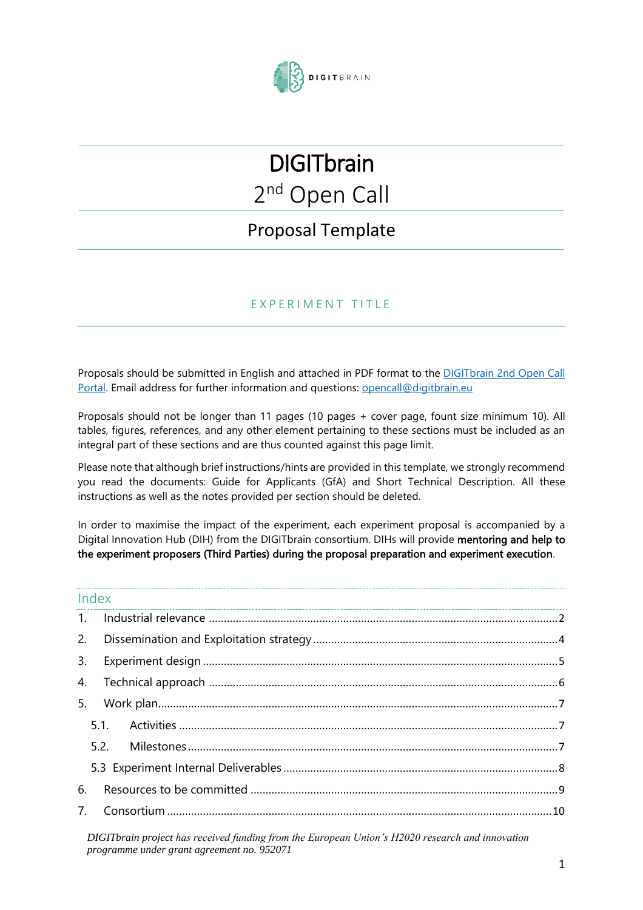

# **DIGITbrain** 2<sup>nd</sup> Open Call

# Proposal Template

### E X P E R I M E N T T I T L E

Proposals should be submitted in English and attached in PDF format to the [DIGITbrain 2nd Open Call](https://digitbrain-2nd-open-call.fundingbox.com/)  [Portal.](https://digitbrain-2nd-open-call.fundingbox.com/) Email address for further information and questions: [opencall@digitbrain.eu](mailto:opencall@digitbrain.eu)

Proposals should not be longer than 11 pages (10 pages + cover page, fount size minimum 10). All tables, figures, references, and any other element pertaining to these sections must be included as an integral part of these sections and are thus counted against this page limit.

Please note that although brief instructions/hints are provided in this template, we strongly recommend you read the documents: Guide for Applicants (GfA) and Short Technical Description. All these instructions as well as the notes provided per section should be deleted.

In order to maximise the impact of the experiment, each experiment proposal is accompanied by a Digital Innovation Hub (DIH) from the DIGITbrain consortium. DIHs will provide mentoring and help to the experiment proposers (Third Parties) during the proposal preparation and experiment execution.

| Index |  |
|-------|--|
|       |  |
|       |  |
|       |  |
|       |  |
|       |  |
|       |  |
|       |  |
|       |  |
| 6.    |  |
|       |  |
|       |  |

*DIGITbrain project has received funding from the European Union's H2020 research and innovation programme under grant agreement no. 952071*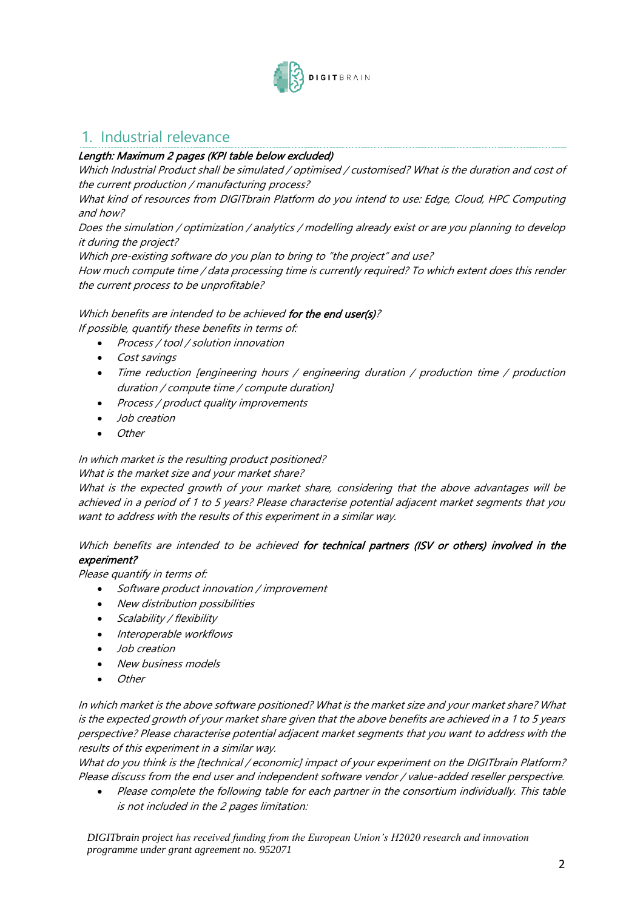

## <span id="page-1-0"></span>1. Industrial relevance

### Length: Maximum 2 pages (KPI table below excluded)

Which Industrial Product shall be simulated / optimised / customised? What is the duration and cost of the current production / manufacturing process?

What kind of resources from DIGITbrain Platform do you intend to use: Edge, Cloud, HPC Computing and how?

Does the simulation / optimization / analytics / modelling already exist or are you planning to develop it during the project?

Which pre-existing software do you plan to bring to "the project" and use?

How much compute time / data processing time is currently required? To which extent does this render the current process to be unprofitable?

### Which benefits are intended to be achieved for the end user(s)?

If possible, quantify these benefits in terms of:

- Process / tool / solution innovation
- Cost savings
- Time reduction [engineering hours / engineering duration / production time / production duration / compute time / compute duration]
- Process / product quality improvements
- Job creation
- Other

#### In which market is the resulting product positioned?

#### What is the market size and your market share?

What is the expected growth of your market share, considering that the above advantages will be achieved in a period of 1 to 5 years? Please characterise potential adjacent market segments that you want to address with the results of this experiment in a similar way.

#### Which benefits are intended to be achieved for technical partners (ISV or others) involved in the experiment?

Please quantify in terms of:

- Software product innovation / improvement
- New distribution possibilities
- Scalability / flexibility
- Interoperable workflows
- Job creation
- New business models
- **Other**

In which market is the above software positioned? What is the market size and your market share? What is the expected growth of your market share given that the above benefits are achieved in a 1 to 5 years perspective? Please characterise potential adjacent market segments that you want to address with the results of this experiment in a similar way.

What do you think is the [technical / economic] impact of your experiment on the DIGITbrain Platform? Please discuss from the end user and independent software vendor / value-added reseller perspective.

• Please complete the following table for each partner in the consortium individually. This table is not included in the 2 pages limitation:

*DIGITbrain project has received funding from the European Union's H2020 research and innovation programme under grant agreement no. 952071*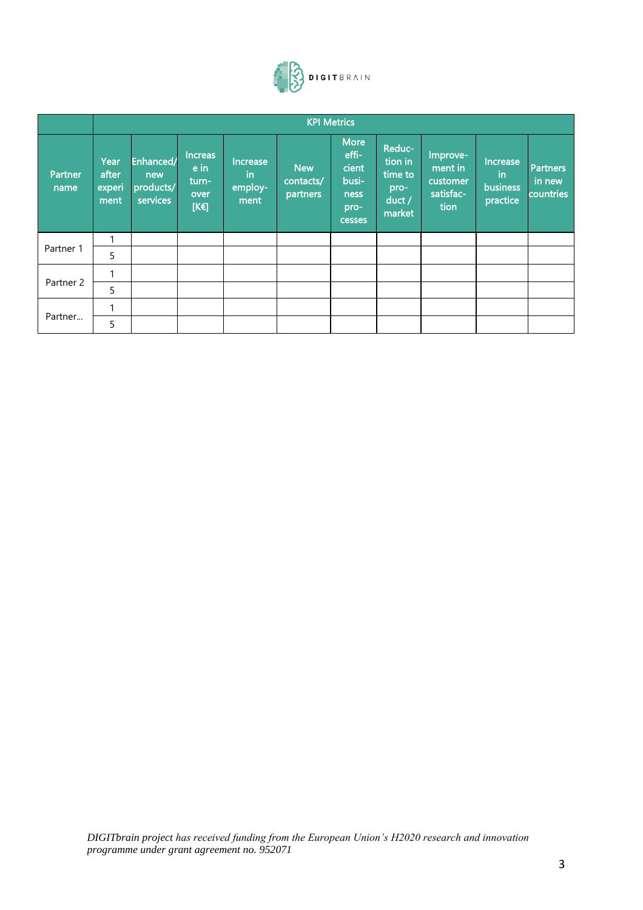

|                      |                                 | <b>KPI Metrics</b>                        |                                                 |                                    |                                     |                                                                  |                                                            |                                                      |                                        |                                        |
|----------------------|---------------------------------|-------------------------------------------|-------------------------------------------------|------------------------------------|-------------------------------------|------------------------------------------------------------------|------------------------------------------------------------|------------------------------------------------------|----------------------------------------|----------------------------------------|
| Partner<br>name      | Year<br>after<br>experi<br>ment | Enhanced/<br>new<br>products/<br>services | <b>Increas</b><br>e in<br>turn-<br>over<br>[KE] | Increase<br>in.<br>employ-<br>ment | <b>New</b><br>contacts/<br>partners | <b>More</b><br>effi-<br>cient<br>busi-<br>ness<br>pro-<br>cesses | Reduc-<br>tion in<br>time to<br>pro-<br>$duct$ /<br>market | Improve-<br>ment in<br>customer<br>satisfac-<br>tion | Increase<br>in<br>business<br>practice | <b>Partners</b><br>in new<br>countries |
|                      | 1                               |                                           |                                                 |                                    |                                     |                                                                  |                                                            |                                                      |                                        |                                        |
| Partner 1            | 5                               |                                           |                                                 |                                    |                                     |                                                                  |                                                            |                                                      |                                        |                                        |
|                      | 1                               |                                           |                                                 |                                    |                                     |                                                                  |                                                            |                                                      |                                        |                                        |
| Partner <sub>2</sub> | 5                               |                                           |                                                 |                                    |                                     |                                                                  |                                                            |                                                      |                                        |                                        |
| Partner              | 1                               |                                           |                                                 |                                    |                                     |                                                                  |                                                            |                                                      |                                        |                                        |
|                      | 5                               |                                           |                                                 |                                    |                                     |                                                                  |                                                            |                                                      |                                        |                                        |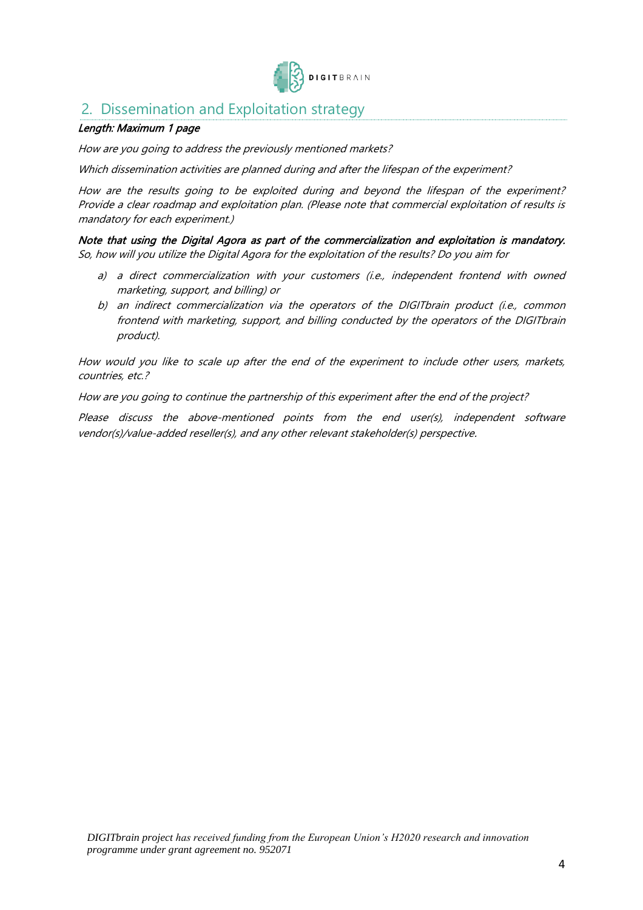

### <span id="page-3-0"></span>2. Dissemination and Exploitation strategy

#### Length: Maximum 1 page

How are you going to address the previously mentioned markets?

Which dissemination activities are planned during and after the lifespan of the experiment?

How are the results going to be exploited during and beyond the lifespan of the experiment? Provide a clear roadmap and exploitation plan. (Please note that commercial exploitation of results is mandatory for each experiment.)

Note that using the Digital Agora as part of the commercialization and exploitation is mandatory. So, how will you utilize the Digital Agora for the exploitation of the results? Do you aim for

- a) a direct commercialization with your customers (i.e., independent frontend with owned marketing, support, and billing) or
- b) an indirect commercialization via the operators of the DIGITbrain product (i.e., common frontend with marketing, support, and billing conducted by the operators of the DIGITbrain product).

How would you like to scale up after the end of the experiment to include other users, markets, countries, etc.?

How are you going to continue the partnership of this experiment after the end of the project?

Please discuss the above-mentioned points from the end user(s), independent software vendor(s)/value-added reseller(s), and any other relevant stakeholder(s) perspective.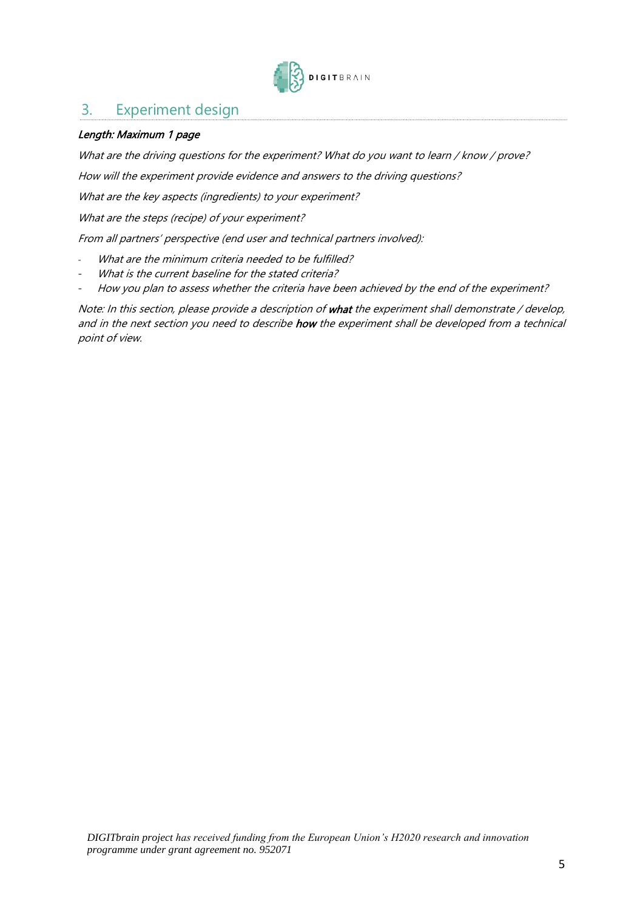

### <span id="page-4-0"></span>3. Experiment design

#### Length: Maximum 1 page

What are the driving questions for the experiment? What do you want to learn / know / prove?

How will the experiment provide evidence and answers to the driving questions?

What are the key aspects (ingredients) to your experiment?

What are the steps (recipe) of your experiment?

From all partners' perspective (end user and technical partners involved):

- What are the minimum criteria needed to be fulfilled?
- What is the current baseline for the stated criteria?
- How you plan to assess whether the criteria have been achieved by the end of the experiment?

Note: In this section, please provide a description of what the experiment shall demonstrate / develop, and in the next section you need to describe how the experiment shall be developed from a technical point of view.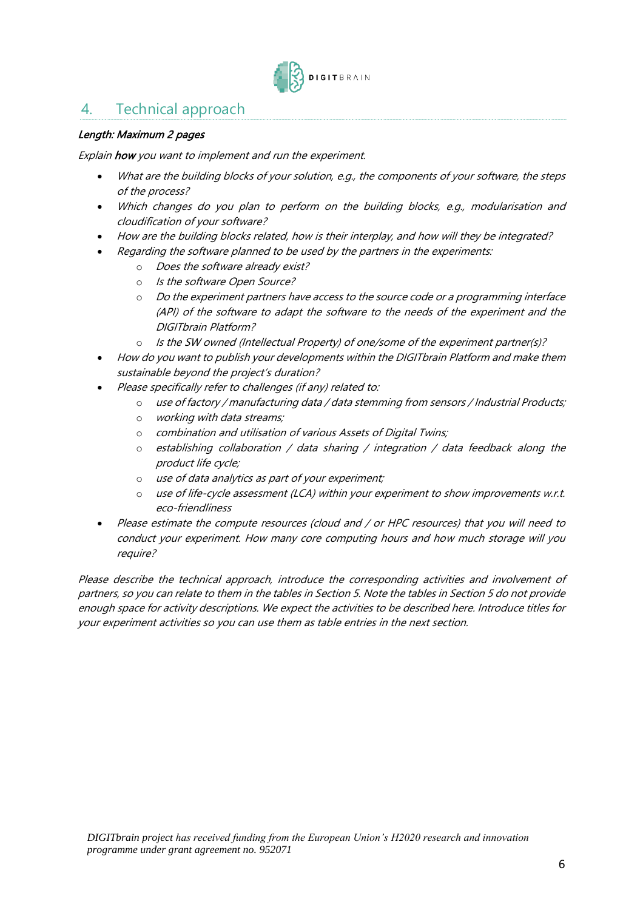

## <span id="page-5-0"></span>4. Technical approach

#### Length: Maximum 2 pages

Explain how you want to implement and run the experiment.

- What are the building blocks of your solution, e.g., the components of your software, the steps of the process?
- Which changes do you plan to perform on the building blocks, e.g., modularisation and cloudification of your software?
- How are the building blocks related, how is their interplay, and how will they be integrated?
- Regarding the software planned to be used by the partners in the experiments:
	- o Does the software already exist?
	- o Is the software Open Source?
	- o Do the experiment partners have access to the source code or a programming interface (API) of the software to adapt the software to the needs of the experiment and the DIGITbrain Platform?
	- o Is the SW owned (Intellectual Property) of one/some of the experiment partner(s)?
- How do you want to publish your developments within the DIGITbrain Platform and make them sustainable beyond the project's duration?
- Please specifically refer to challenges (if any) related to:
	- o use of factory / manufacturing data / data stemming from sensors / Industrial Products;
	- o working with data streams;
	- o combination and utilisation of various Assets of Digital Twins;
	- $\circ$  establishing collaboration / data sharing / integration / data feedback along the product life cycle;
	- o use of data analytics as part of your experiment;
	- o use of life-cycle assessment (LCA) within your experiment to show improvements w.r.t. eco-friendliness
- Please estimate the compute resources (cloud and / or HPC resources) that you will need to conduct your experiment. How many core computing hours and how much storage will you require?

Please describe the technical approach, introduce the corresponding activities and involvement of partners, so you can relate to them in the tables in Section 5. Note the tables in Section 5 do not provide enough space for activity descriptions. We expect the activities to be described here. Introduce titles for your experiment activities so you can use them as table entries in the next section.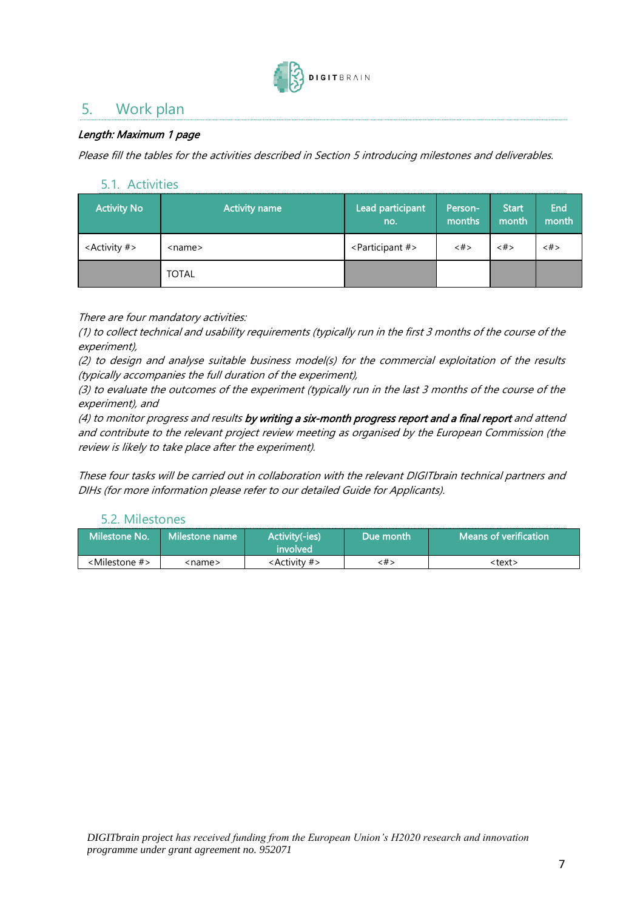

# <span id="page-6-0"></span>5. Work plan

### Length: Maximum 1 page

Please fill the tables for the activities described in Section 5 introducing milestones and deliverables.

### <span id="page-6-1"></span>5.1. Activities

| <b>Activity No</b>         | Activity name | Lead participant<br>no.          | Person-<br>months   | <b>Start</b><br>month | End<br>month |
|----------------------------|---------------|----------------------------------|---------------------|-----------------------|--------------|
| <activity #=""></activity> | <name></name> | <participant #=""></participant> | $\langle # \rangle$ | <#>                   | <#>          |
|                            | <b>TOTAL</b>  |                                  |                     |                       |              |

There are four mandatory activities:

(1) to collect technical and usability requirements (typically run in the first 3 months of the course of the experiment),

(2) to design and analyse suitable business model(s) for the commercial exploitation of the results (typically accompanies the full duration of the experiment),

(3) to evaluate the outcomes of the experiment (typically run in the last 3 months of the course of the experiment), and

(4) to monitor progress and results by writing a six-month progress report and a final report and attend and contribute to the relevant project review meeting as organised by the European Commission (the review is likely to take place after the experiment).

<span id="page-6-2"></span>These four tasks will be carried out in collaboration with the relevant DIGITbrain technical partners and DIHs (for more information please refer to our detailed Guide for Applicants).

### 5.2. Milestones

| Milestone No.                | l Milestone name l | Activity(-ies)<br>involved | Due month | $\blacksquare$ Means of verification $\P$ |
|------------------------------|--------------------|----------------------------|-----------|-------------------------------------------|
| <milestone #=""></milestone> | <name></name>      | <activity #=""></activity> | <#>       | <text></text>                             |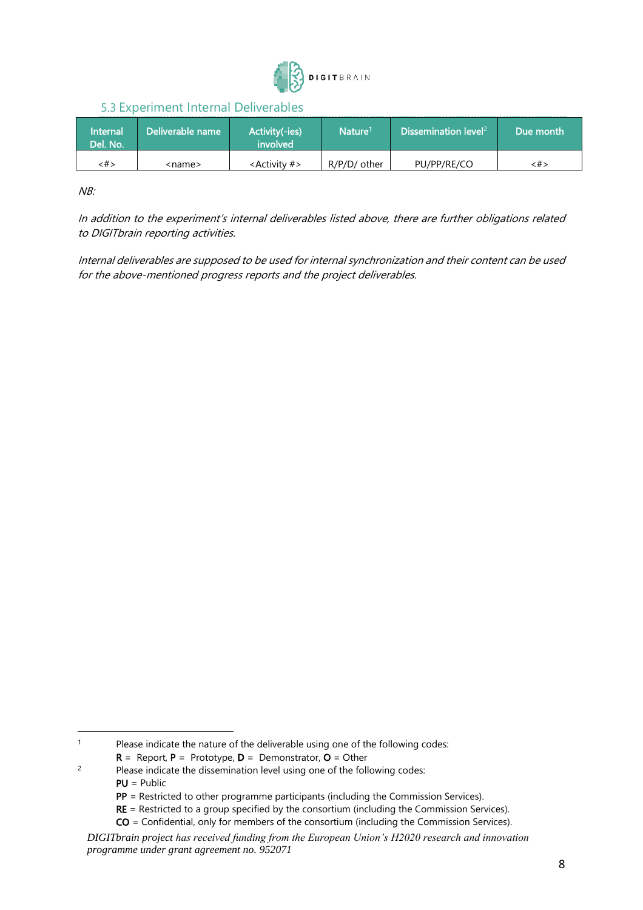

### 5.3 Experiment Internal Deliverables

<span id="page-7-0"></span>

| <b>Internal</b><br>Del. No. | l Deliverable name | Activity(-ies)<br>involved | Nature <sup>1</sup> | $\blacksquare$ Dissemination level $^{2+}$ | ' Due month. |
|-----------------------------|--------------------|----------------------------|---------------------|--------------------------------------------|--------------|
| <#>                         | <name></name>      | <activity #=""></activity> | R/P/D/ other        | PU/PP/RE/CO                                | <#>          |

NB:

In addition to the experiment's internal deliverables listed above, there are further obligations related to DIGITbrain reporting activities.

Internal deliverables are supposed to be used for internal synchronization and their content can be used for the above-mentioned progress reports and the project deliverables.

<sup>&</sup>lt;sup>1</sup> Please indicate the nature of the deliverable using one of the following codes:

 $R =$  Report,  $P =$  Prototype,  $D =$  Demonstrator,  $O =$  Other

<sup>&</sup>lt;sup>2</sup> Please indicate the dissemination level using one of the following codes: PU = Public

PP = Restricted to other programme participants (including the Commission Services).

RE = Restricted to a group specified by the consortium (including the Commission Services).

CO = Confidential, only for members of the consortium (including the Commission Services).

*DIGITbrain project has received funding from the European Union's H2020 research and innovation programme under grant agreement no. 952071*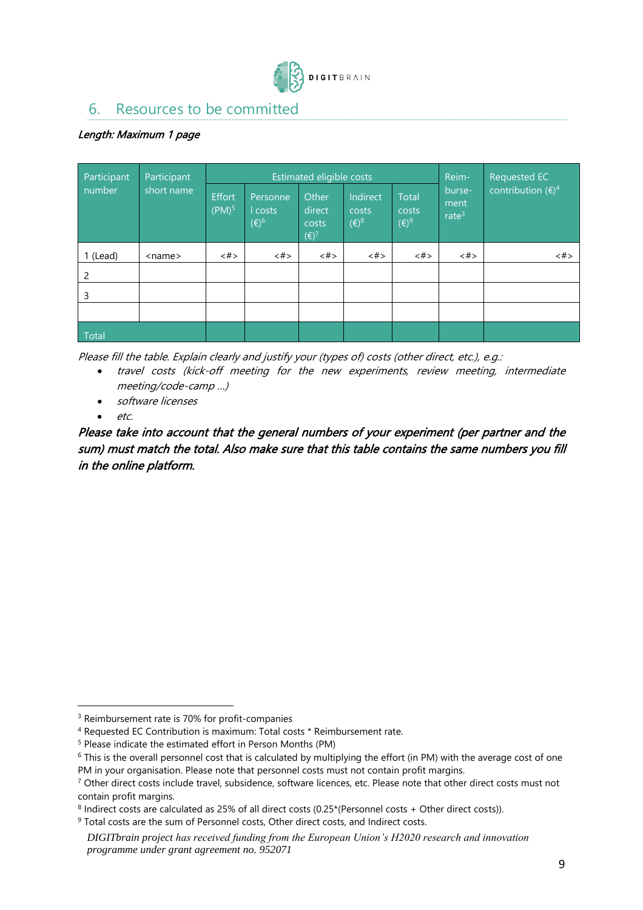

### <span id="page-8-0"></span>6. Resources to be committed

### Length: Maximum 1 page

| Participant | Participant<br>short name |                                    |                                       | Estimated eligible costs                   | Reim-                               | Requested EC                     |                            |                             |
|-------------|---------------------------|------------------------------------|---------------------------------------|--------------------------------------------|-------------------------------------|----------------------------------|----------------------------|-----------------------------|
| number      |                           | <b>Effort</b><br>(PM) <sup>5</sup> | Personne<br>l costs<br>$(\epsilon)^6$ | Other<br>direct<br>costs<br>$(\epsilon)^7$ | Indirect<br>costs<br>$(\epsilon)^8$ | Total<br>costs<br>$(\epsilon)^9$ | burse-<br>ment<br>rate $3$ | contribution $(\epsilon)^4$ |
| 1 (Lead)    | $<$ name $>$              | <#>                                | <#>                                   | $$\langle  # \rangle$$                     | <#>                                 | <#>                              | $<\#$                      | <#>                         |
| 2           |                           |                                    |                                       |                                            |                                     |                                  |                            |                             |
| 3           |                           |                                    |                                       |                                            |                                     |                                  |                            |                             |
|             |                           |                                    |                                       |                                            |                                     |                                  |                            |                             |
| Total       |                           |                                    |                                       |                                            |                                     |                                  |                            |                             |

Please fill the table. Explain clearly and justify your (types of) costs (other direct, etc.), e.g.:

- travel costs (kick-off meeting for the new experiments, review meeting, intermediate meeting/code-camp …)
- software licenses
- etc.

Please take into account that the general numbers of your experiment (per partner and the sum) must match the total. Also make sure that this table contains the same numbers you fill in the online platform.

<sup>&</sup>lt;sup>3</sup> Reimbursement rate is 70% for profit-companies

<sup>4</sup> Requested EC Contribution is maximum: Total costs \* Reimbursement rate.

<sup>5</sup> Please indicate the estimated effort in Person Months (PM)

<sup>&</sup>lt;sup>6</sup> This is the overall personnel cost that is calculated by multiplying the effort (in PM) with the average cost of one PM in your organisation. Please note that personnel costs must not contain profit margins.

 $7$  Other direct costs include travel, subsidence, software licences, etc. Please note that other direct costs must not contain profit margins.

<sup>&</sup>lt;sup>8</sup> Indirect costs are calculated as 25% of all direct costs (0.25\*(Personnel costs + Other direct costs)).

<sup>&</sup>lt;sup>9</sup> Total costs are the sum of Personnel costs, Other direct costs, and Indirect costs.

*DIGITbrain project has received funding from the European Union's H2020 research and innovation programme under grant agreement no. 952071*